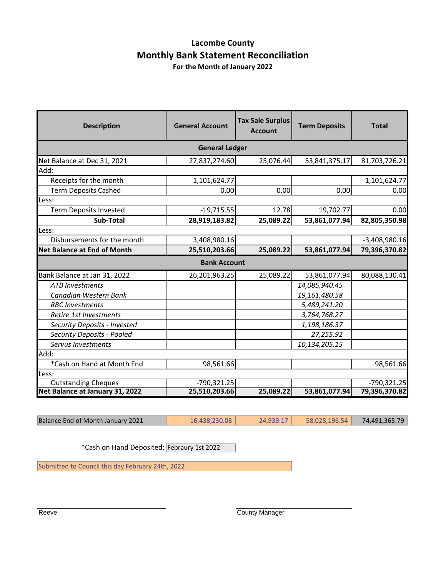#### **Lacombe County Monthly Bank Statement Reconciliation For the Month of January 2022**

| <b>Description</b>                 | <b>General Account</b> | <b>Tax Sale Surplus</b><br><b>Account</b> | <b>Term Deposits</b> | <b>Total</b>    |  |
|------------------------------------|------------------------|-------------------------------------------|----------------------|-----------------|--|
| <b>General Ledger</b>              |                        |                                           |                      |                 |  |
| Net Balance at Dec 31, 2021        | 27,837,274.60          | 25,076.44                                 | 53,841,375.17        | 81,703,726.21   |  |
| Add:                               |                        |                                           |                      |                 |  |
| Receipts for the month             | 1,101,624.77           |                                           |                      | 1,101,624.77    |  |
| <b>Term Deposits Cashed</b>        | 0.00                   | 0.00                                      | 0.00                 | 0.00            |  |
| Less:                              |                        |                                           |                      |                 |  |
| <b>Term Deposits Invested</b>      | $-19,715.55$           | 12.78                                     | 19,702.77            | 0.00            |  |
| Sub-Total                          | 28,919,183.82          | 25,089.22                                 | 53,861,077.94        | 82,805,350.98   |  |
| Less:                              |                        |                                           |                      |                 |  |
| Disbursements for the month        | 3,408,980.16           |                                           |                      | $-3,408,980.16$ |  |
| <b>Net Balance at End of Month</b> | 25,510,203.66          | 25,089.22                                 | 53,861,077.94        | 79,396,370.82   |  |
|                                    | <b>Bank Account</b>    |                                           |                      |                 |  |
| Bank Balance at Jan 31, 2022       | 26,201,963.25          | 25,089.22                                 | 53,861,077.94        | 80,088,130.41   |  |
| <b>ATB Investments</b>             |                        |                                           | 14,085,940.45        |                 |  |
| Canadian Western Bank              |                        |                                           | 19,161,480.58        |                 |  |
| <b>RBC</b> Investments             |                        |                                           | 5,489,241.20         |                 |  |
| Retire 1st Investments             |                        |                                           | 3,764,768.27         |                 |  |
| Security Deposits - Invested       |                        |                                           | 1,198,186.37         |                 |  |
| Security Deposits - Pooled         |                        |                                           | 27,255.92            |                 |  |
| Servus Investments                 |                        |                                           | 10,134,205.15        |                 |  |
| Add:                               |                        |                                           |                      |                 |  |
| *Cash on Hand at Month End         | 98,561.66              |                                           |                      | 98,561.66       |  |
| Less:                              |                        |                                           |                      |                 |  |
| <b>Outstanding Cheques</b>         | $-790,321.25$          |                                           |                      | $-790,321.25$   |  |
| Net Balance at January 31, 2022    | 25,510,203.66          | 25,089.22                                 | 53,861,077.94        | 79,396,370.82   |  |

Balance End of Month January 2021 16,438,230.08 24,939.17 58,028,196.54 74,491,365.79

\*Cash on Hand Deposited: Febraury 1st 2022

Submitted to Council this day February 24th, 2022

Reeve **County Manager**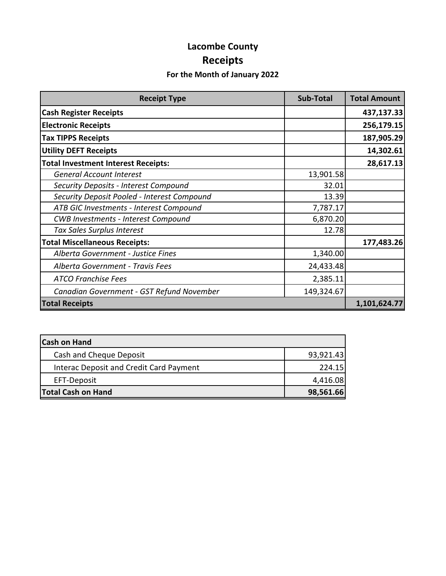# **Lacombe County Receipts**

### **For the Month of January 2022**

| <b>Receipt Type</b>                         | <b>Sub-Total</b> | <b>Total Amount</b> |
|---------------------------------------------|------------------|---------------------|
| <b>Cash Register Receipts</b>               |                  | 437,137.33          |
| <b>Electronic Receipts</b>                  |                  | 256,179.15          |
| <b>Tax TIPPS Receipts</b>                   |                  | 187,905.29          |
| <b>Utility DEFT Receipts</b>                |                  | 14,302.61           |
| <b>Total Investment Interest Receipts:</b>  |                  | 28,617.13           |
| <b>General Account Interest</b>             | 13,901.58        |                     |
| Security Deposits - Interest Compound       | 32.01            |                     |
| Security Deposit Pooled - Interest Compound | 13.39            |                     |
| ATB GIC Investments - Interest Compound     | 7,787.17         |                     |
| <b>CWB Investments - Interest Compound</b>  | 6,870.20         |                     |
| Tax Sales Surplus Interest                  | 12.78            |                     |
| <b>Total Miscellaneous Receipts:</b>        |                  | 177,483.26          |
| Alberta Government - Justice Fines          | 1,340.00         |                     |
| Alberta Government - Travis Fees            | 24,433.48        |                     |
| <b>ATCO Franchise Fees</b>                  | 2,385.11         |                     |
| Canadian Government - GST Refund November   | 149,324.67       |                     |
| <b>Total Receipts</b>                       |                  | 1,101,624.77        |

| <b>Cash on Hand</b>                     |           |
|-----------------------------------------|-----------|
| Cash and Cheque Deposit                 | 93,921.43 |
| Interac Deposit and Credit Card Payment | 224.15    |
| EFT-Deposit                             | 4,416.08  |
| <b>Total Cash on Hand</b>               | 98,561.66 |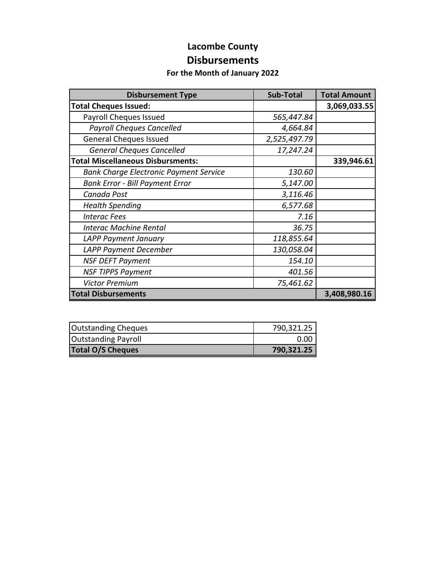### **Lacombe County Disbursements**

#### **For the Month of January 2022**

| <b>Disbursement Type</b>                      | <b>Sub-Total</b> | <b>Total Amount</b> |
|-----------------------------------------------|------------------|---------------------|
| <b>Total Cheques Issued:</b>                  |                  | 3,069,033.55        |
| Payroll Cheques Issued                        | 565,447.84       |                     |
| <b>Payroll Cheques Cancelled</b>              | 4,664.84         |                     |
| <b>General Cheques Issued</b>                 | 2,525,497.79     |                     |
| <b>General Cheques Cancelled</b>              | 17,247.24        |                     |
| <b>Total Miscellaneous Disbursments:</b>      |                  | 339,946.61          |
| <b>Bank Charge Electronic Payment Service</b> | 130.60           |                     |
| <b>Bank Error - Bill Payment Error</b>        | 5,147.00         |                     |
| Canada Post                                   | 3,116.46         |                     |
| <b>Health Spending</b>                        | 6,577.68         |                     |
| <b>Interac Fees</b>                           | 7.16             |                     |
| <b>Interac Machine Rental</b>                 | 36.75            |                     |
| LAPP Payment January                          | 118,855.64       |                     |
| LAPP Payment December                         | 130,058.04       |                     |
| <b>NSF DEFT Payment</b>                       | 154.10           |                     |
| <b>NSF TIPPS Payment</b>                      | 401.56           |                     |
| <b>Victor Premium</b>                         | 75,461.62        |                     |
| <b>Total Disbursements</b>                    |                  | 3,408,980.16        |

| Outstanding Cheques        | 790,321.25 |
|----------------------------|------------|
| <b>Outstanding Payroll</b> | 0.00       |
| <b>Total O/S Cheques</b>   | 790,321.25 |